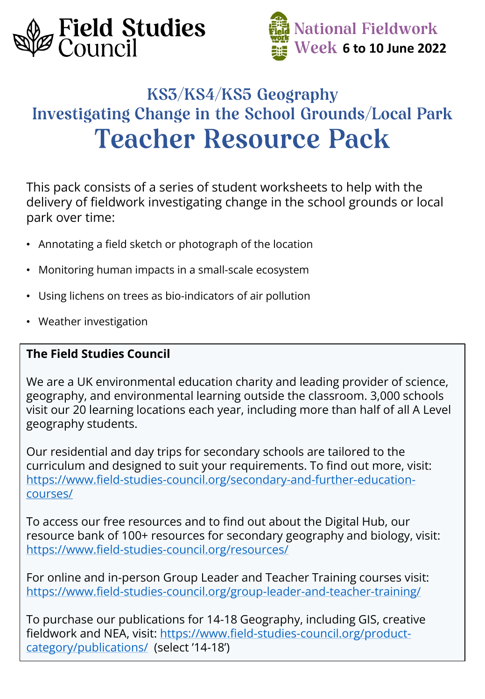



# KS3/KS4/KS5 Geography **Investigating Change in the School Grounds/Local Park Teacher Resource Pack**

This pack consists of a series of student worksheets to help with the delivery of fieldwork investigating change in the school grounds or local park over time:

- Annotating a field sketch or photograph of the location
- Monitoring human impacts in a small-scale ecosystem
- Using lichens on trees as bio-indicators of air pollution
- Weather investigation

### **The Field Studies Council**

We are a UK environmental education charity and leading provider of science, geography, and environmental learning outside the classroom. 3,000 schools visit our 20 learning locations each year, including more than half of all A Level geography students.

Our residential and day trips for secondary schools are tailored to the curriculum and designed to suit your requirements. To find out more, visit: [https://www.field-studies-council.org/secondary-and-further-education](https://www.field-studies-council.org/secondary-and-further-education-courses/)courses/

To access our free resources and to find out about the Digital Hub, our resource bank of 100+ resources for secondary geography and biology, visit: <https://www.field-studies-council.org/resources/>

For online and in-person Group Leader and Teacher Training courses visit: <https://www.field-studies-council.org/group-leader-and-teacher-training/>

To purchase our publications for 14-18 Geography, including GIS, creative [fieldwork and NEA, visit: https://www.field-studies-council.org/product](https://www.field-studies-council.org/product-category/publications/)category/publications/ (select '14-18')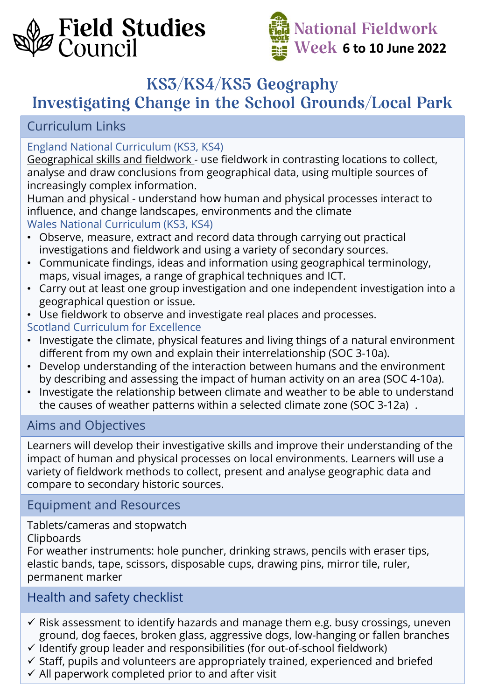



## KS3/KS4/KS5 Geography

# **Investigating Change in the School Grounds/Local Park**

## Curriculum Links

### England National Curriculum (KS3, KS4)

Geographical skills and fieldwork - use fieldwork in contrasting locations to collect, analyse and draw conclusions from geographical data, using multiple sources of increasingly complex information.

Human and physical - understand how human and physical processes interact to influence, and change landscapes, environments and the climate Wales National Curriculum (KS3, KS4)

- Observe, measure, extract and record data through carrying out practical investigations and fieldwork and using a variety of secondary sources.
- Communicate findings, ideas and information using geographical terminology, maps, visual images, a range of graphical techniques and ICT.
- Carry out at least one group investigation and one independent investigation into a geographical question or issue.
- Use fieldwork to observe and investigate real places and processes.
- Scotland Curriculum for Excellence
- Investigate the climate, physical features and living things of a natural environment different from my own and explain their interrelationship (SOC 3-10a).
- Develop understanding of the interaction between humans and the environment by describing and assessing the impact of human activity on an area (SOC 4-10a).
- Investigate the relationship between climate and weather to be able to understand the causes of weather patterns within a selected climate zone (SOC 3-12a) .

### Aims and Objectives

Learners will develop their investigative skills and improve their understanding of the impact of human and physical processes on local environments. Learners will use a variety of fieldwork methods to collect, present and analyse geographic data and compare to secondary historic sources.

### Equipment and Resources

Tablets/cameras and stopwatch

#### Clipboards

For weather instruments: hole puncher, drinking straws, pencils with eraser tips, elastic bands, tape, scissors, disposable cups, drawing pins, mirror tile, ruler, permanent marker

### Health and safety checklist

- $\checkmark$  Risk assessment to identify hazards and manage them e.g. busy crossings, uneven ground, dog faeces, broken glass, aggressive dogs, low-hanging or fallen branches
- $\checkmark$  Identify group leader and responsibilities (for out-of-school fieldwork)
- $\checkmark$  Staff, pupils and volunteers are appropriately trained, experienced and briefed
- $\checkmark$  All paperwork completed prior to and after visit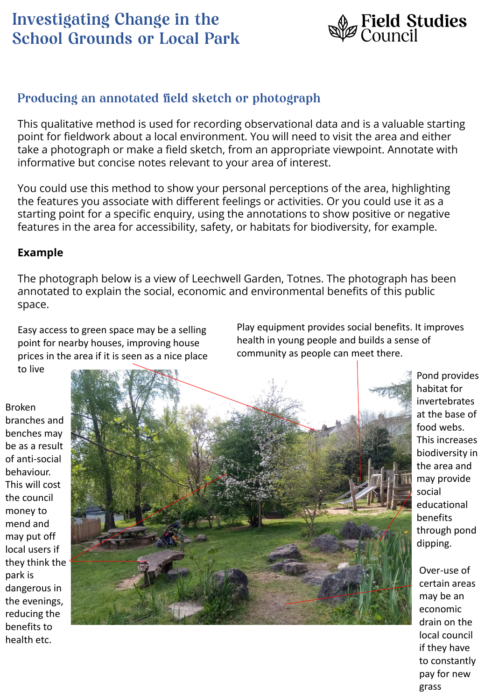

## Producing an annotated field sketch or photograph

This qualitative method is used for recording observational data and is a valuable starting point for fieldwork about a local environment. You will need to visit the area and either take a photograph or make a field sketch, from an appropriate viewpoint. Annotate with informative but concise notes relevant to your area of interest.

You could use this method to show your personal perceptions of the area, highlighting the features you associate with different feelings or activities. Or you could use it as a starting point for a specific enquiry, using the annotations to show positive or negative features in the area for accessibility, safety, or habitats for biodiversity, for example.

#### **Example**

The photograph below is a view of Leechwell Garden, Totnes. The photograph has been annotated to explain the social, economic and environmental benefits of this public space.

Easy access to green space may be a selling point for nearby houses, improving house prices in the area if it is seen as a nice place to live

Play equipment provides social benefits. It improves health in young people and builds a sense of community as people can meet there.

Broken branches and benches may be as a result of anti-social behaviour. This will cost the council money to mend and may put off local users if they think the park is dangerous in the evenings, reducing the benefits to health etc.



Pond provides habitat for invertebrates at the base of food webs. This increases biodiversity in the area and may provide social educational benefits through pond dipping.

Over-use of certain areas may be an economic drain on the local council if they have to constantly pay for new grass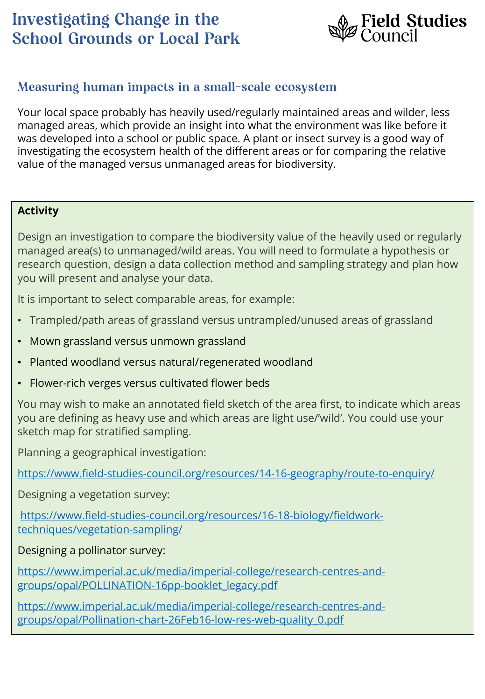

## Measuring human impacts in a small-scale ecosystem

Your local space probably has heavily used/regularly maintained areas and wilder, less managed areas, which provide an insight into what the environment was like before it was developed into a school or public space. A plant or insect survey is a good way of investigating the ecosystem health of the different areas or for comparing the relative value of the managed versus unmanaged areas for biodiversity.

### **Activity**

Design an investigation to compare the biodiversity value of the heavily used or regularly managed area(s) to unmanaged/wild areas. You will need to formulate a hypothesis or research question, design a data collection method and sampling strategy and plan how you will present and analyse your data.

It is important to select comparable areas, for example:

- Trampled/path areas of grassland versus untrampled/unused areas of grassland
- Mown grassland versus unmown grassland
- Planted woodland versus natural/regenerated woodland
- Flower-rich verges versus cultivated flower beds

You may wish to make an annotated field sketch of the area first, to indicate which areas you are defining as heavy use and which areas are light use/'wild'. You could use your sketch map for stratified sampling.

Planning a geographical investigation:

<https://www.field-studies-council.org/resources/14-16-geography/route-to-enquiry/>

Designing a vegetation survey:

[https://www.field-studies-council.org/resources/16-18-biology/fieldwork](https://www.field-studies-council.org/resources/16-18-biology/fieldwork-techniques/vegetation-sampling/)techniques/vegetation-sampling/

#### Designing a pollinator survey:

[https://www.imperial.ac.uk/media/imperial-college/research-centres-and](https://www.imperial.ac.uk/media/imperial-college/research-centres-and-groups/opal/POLLINATION-16pp-booklet_legacy.pdf)groups/opal/POLLINATION-16pp-booklet\_legacy.pdf

[https://www.imperial.ac.uk/media/imperial-college/research-centres-and](https://www.imperial.ac.uk/media/imperial-college/research-centres-and-groups/opal/Pollination-chart-26Feb16-low-res-web-quality_0.pdf)groups/opal/Pollination-chart-26Feb16-low-res-web-quality\_0.pdf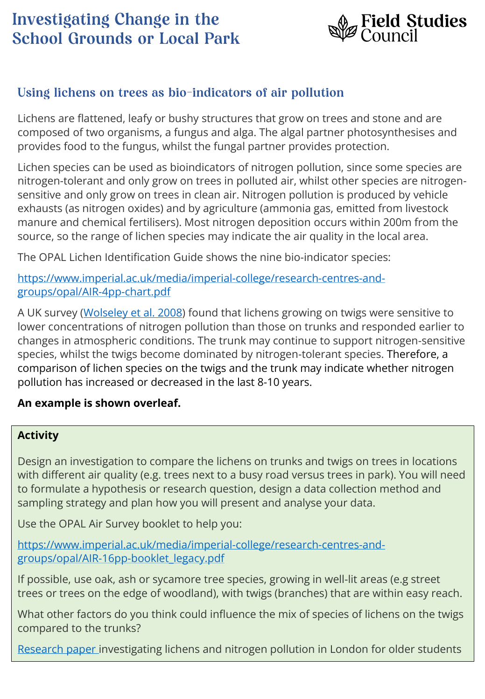

## Using lichens on trees as bio-indicators of air pollution

Lichens are flattened, leafy or bushy structures that grow on trees and stone and are composed of two organisms, a fungus and alga. The algal partner photosynthesises and provides food to the fungus, whilst the fungal partner provides protection.

Lichen species can be used as bioindicators of nitrogen pollution, since some species are nitrogen-tolerant and only grow on trees in polluted air, whilst other species are nitrogensensitive and only grow on trees in clean air. Nitrogen pollution is produced by vehicle exhausts (as nitrogen oxides) and by agriculture (ammonia gas, emitted from livestock manure and chemical fertilisers). Most nitrogen deposition occurs within 200m from the source, so the range of lichen species may indicate the air quality in the local area.

The OPAL Lichen Identification Guide shows the nine bio-indicator species:

[https://www.imperial.ac.uk/media/imperial-college/research-centres-and](https://www.imperial.ac.uk/media/imperial-college/research-centres-and-groups/opal/AIR-4pp-chart.pdf)groups/opal/AIR-4pp-chart.pdf

A UK survey ([Wolseley et al. 2008](https://link.springer.com/chapter/10.1007/978-1-4020-9121-6_9)) found that lichens growing on twigs were sensitive to lower concentrations of nitrogen pollution than those on trunks and responded earlier to changes in atmospheric conditions. The trunk may continue to support nitrogen-sensitive species, whilst the twigs become dominated by nitrogen-tolerant species. Therefore, a comparison of lichen species on the twigs and the trunk may indicate whether nitrogen pollution has increased or decreased in the last 8-10 years.

#### **An example is shown overleaf.**

#### **Activity**

Design an investigation to compare the lichens on trunks and twigs on trees in locations with different air quality (e.g. trees next to a busy road versus trees in park). You will need to formulate a hypothesis or research question, design a data collection method and sampling strategy and plan how you will present and analyse your data.

Use the OPAL Air Survey booklet to help you:

[https://www.imperial.ac.uk/media/imperial-college/research-centres-and](https://www.imperial.ac.uk/media/imperial-college/research-centres-and-groups/opal/AIR-16pp-booklet_legacy.pdf)groups/opal/AIR-16pp-booklet\_legacy.pdf

If possible, use oak, ash or sycamore tree species, growing in well-lit areas (e.g street trees or trees on the edge of woodland), with twigs (branches) that are within easy reach.

What other factors do you think could influence the mix of species of lichens on the twigs compared to the trunks?

[Research paper](http://citeseerx.ist.psu.edu/viewdoc/download?doi=10.1.1.1064.9636&rep=rep1&type=pdf) investigating lichens and nitrogen pollution in London for older students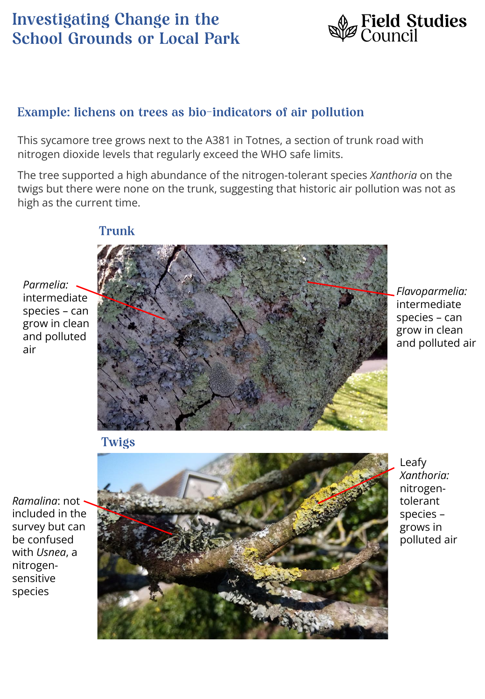

### Example: lichens on trees as bio-indicators of air pollution

This sycamore tree grows next to the A381 in Totnes, a section of trunk road with nitrogen dioxide levels that regularly exceed the WHO safe limits.

The tree supported a high abundance of the nitrogen-tolerant species *Xanthoria* on the twigs but there were none on the trunk, suggesting that historic air pollution was not as high as the current time.



*Flavoparmelia:*  intermediate species – can grow in clean and polluted air

**Twigs** 

*Ramalina*: not included in the survey but can be confused with *Usnea*, a nitrogensensitive species

*Parmelia:*  intermediate species – can grow in clean and polluted

air



Leafy *Xanthoria:*  nitrogentolerant species – grows in polluted air

## **Trunk**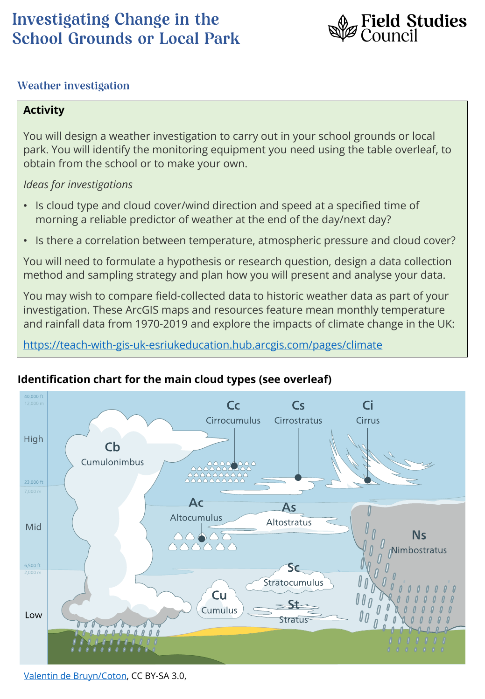

### **Weather investigation**

#### **Activity**

You will design a weather investigation to carry out in your school grounds or local park. You will identify the monitoring equipment you need using the table overleaf, to obtain from the school or to make your own.

#### *Ideas for investigations*

- Is cloud type and cloud cover/wind direction and speed at a specified time of morning a reliable predictor of weather at the end of the day/next day?
- Is there a correlation between temperature, atmospheric pressure and cloud cover?

You will need to formulate a hypothesis or research question, design a data collection method and sampling strategy and plan how you will present and analyse your data.

You may wish to compare field-collected data to historic weather data as part of your investigation. These ArcGIS maps and resources feature mean monthly temperature and rainfall data from 1970-2019 and explore the impacts of climate change in the UK:

<https://teach-with-gis-uk-esriukeducation.hub.arcgis.com/pages/climate>



### **Identification chart for the main cloud types (see overleaf)**

[Valentin de Bruyn/Coton](https://en.wikipedia.org/wiki/List_of_cloud_types#/media/File:Cloud_types_en.svg), CC BY-SA 3.0,